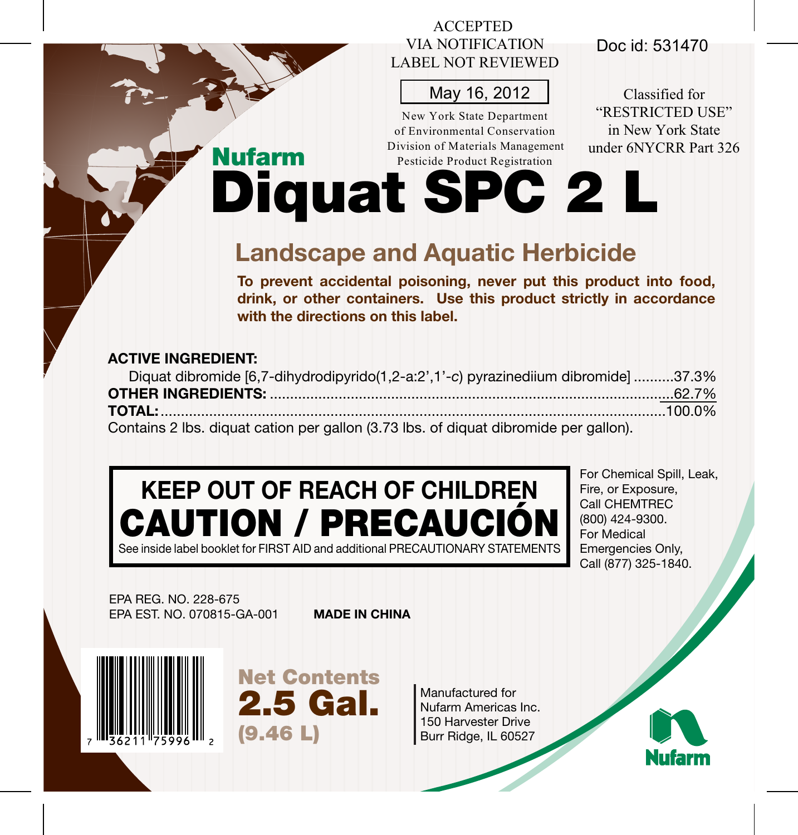## ACCEPTED VIA NOTIFICATION LABEL NOT REVIEWED

## May 16, 2012

New York State Department of Environmental Conservation Division of Materials Management Pesticide Product Registration

Doc id: 531470

Classified for "RESTRICTED USE" in New York State under 6NYCRR Part 326

Diquat SPC 2 L

# **Landscape and Aquatic Herbicide**

**To prevent accidental poisoning, never put this product into food, drink, or other containers. Use this product strictly in accordance with the directions on this label.**

## **ACTIVE INGREDIENT:**

Nufarm

| Diquat dibromide [6,7-dihydrodipyrido(1,2-a:2',1'-c) pyrazinediium dibromide] 37.3%  |  |
|--------------------------------------------------------------------------------------|--|
|                                                                                      |  |
|                                                                                      |  |
| Contains 2 lbs. diquat cation per gallon (3.73 lbs. of diquat dibromide per gallon). |  |

# **KEEP OUT OF REACH OF CHILDREN** CAUTION / PRECAUCIÓN

See inside label booklet for FIRST AID and additional PRECAUTIONARY STATEMENTS

For Chemical Spill, Leak, Fire, or Exposure, Call CHEMTREC (800) 424-9300. For Medical Emergencies Only, Call (877) 325-1840.

EPA REG. NO. 228-675 EPA EST. NO. 070815-GA-001

**MADE IN CHINA**



Net Contents 2.5 Gal. (9.46 L)

Manufactured for Nufarm Americas Inc. 150 Harvester Drive Burr Ridge, IL 60527

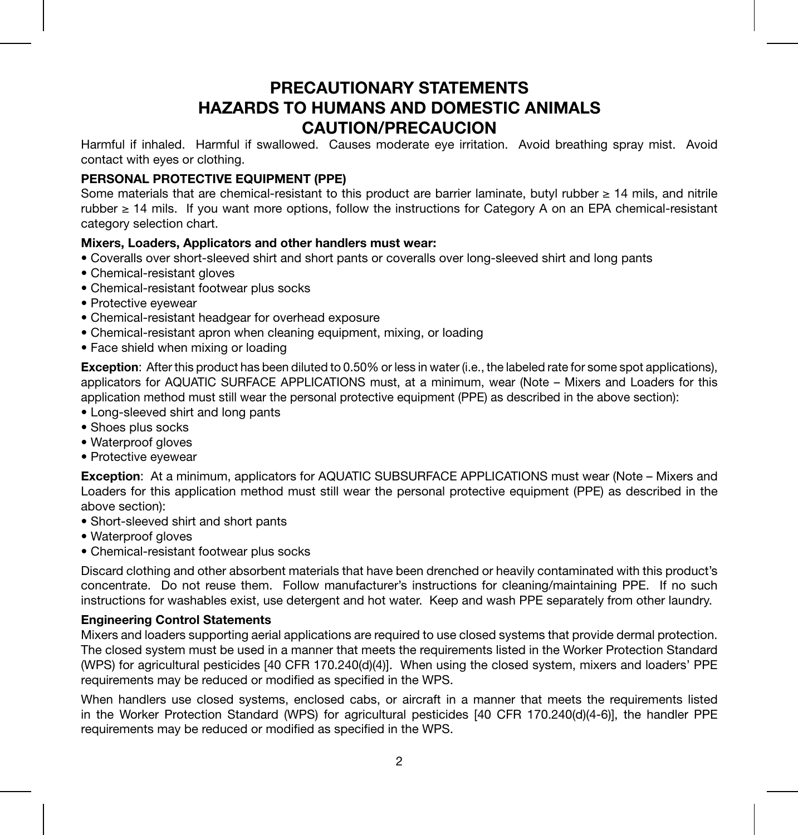## **PRECAUTIONARY STATEMENTS HAZARDS TO HUMANS AND DOMESTIC ANIMALS CAUTION/PRECAUCION**

Harmful if inhaled. Harmful if swallowed. Causes moderate eye irritation. Avoid breathing spray mist. Avoid contact with eyes or clothing.

#### **PERSONAL PROTECTIVE EQUIPMENT (PPE)**

Some materials that are chemical-resistant to this product are barrier laminate, butyl rubber ≥ 14 mils, and nitrile rubber ≥ 14 mils. If you want more options, follow the instructions for Category A on an EPA chemical-resistant category selection chart.

#### **Mixers, Loaders, Applicators and other handlers must wear:**

- Coveralls over short-sleeved shirt and short pants or coveralls over long-sleeved shirt and long pants
- Chemical-resistant gloves
- Chemical-resistant footwear plus socks
- Protective eyewear
- Chemical-resistant headgear for overhead exposure
- Chemical-resistant apron when cleaning equipment, mixing, or loading
- Face shield when mixing or loading

**Exception**: After this product has been diluted to 0.50% or less in water (i.e., the labeled rate for some spot applications), applicators for AQUATIC SURFACE APPLICATIONS must, at a minimum, wear (Note – Mixers and Loaders for this application method must still wear the personal protective equipment (PPE) as described in the above section):

- Long-sleeved shirt and long pants
- Shoes plus socks
- Waterproof gloves
- Protective eyewear

**Exception**: At a minimum, applicators for AQUATIC SUBSURFACE APPLICATIONS must wear (Note – Mixers and Loaders for this application method must still wear the personal protective equipment (PPE) as described in the above section):

- Short-sleeved shirt and short pants
- Waterproof gloves
- Chemical-resistant footwear plus socks

Discard clothing and other absorbent materials that have been drenched or heavily contaminated with this product's concentrate. Do not reuse them. Follow manufacturer's instructions for cleaning/maintaining PPE. If no such instructions for washables exist, use detergent and hot water. Keep and wash PPE separately from other laundry.

#### **Engineering Control Statements**

Mixers and loaders supporting aerial applications are required to use closed systems that provide dermal protection. The closed system must be used in a manner that meets the requirements listed in the Worker Protection Standard (WPS) for agricultural pesticides [40 CFR 170.240(d)(4)]. When using the closed system, mixers and loaders' PPE requirements may be reduced or modified as specified in the WPS.

When handlers use closed systems, enclosed cabs, or aircraft in a manner that meets the requirements listed in the Worker Protection Standard (WPS) for agricultural pesticides [40 CFR 170.240(d)(4-6)], the handler PPE requirements may be reduced or modified as specified in the WPS.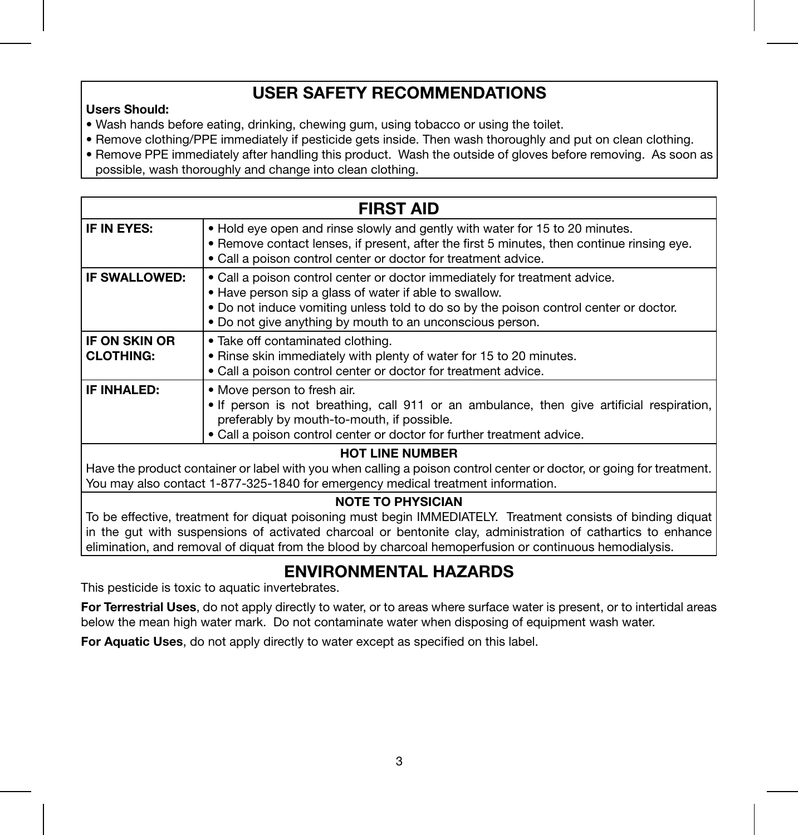## **USER SAFETY RECOMMENDATIONS**

#### **Users Should:**

- Wash hands before eating, drinking, chewing gum, using tobacco or using the toilet.
- Remove clothing/PPE immediately if pesticide gets inside. Then wash thoroughly and put on clean clothing.
- Remove PPE immediately after handling this product. Wash the outside of gloves before removing. As soon as possible, wash thoroughly and change into clean clothing.

|                                   | <b>FIRST AID</b>                                                                                                                                                                                                                                                                           |
|-----------------------------------|--------------------------------------------------------------------------------------------------------------------------------------------------------------------------------------------------------------------------------------------------------------------------------------------|
| IF IN EYES:                       | . Hold eye open and rinse slowly and gently with water for 15 to 20 minutes.<br>. Remove contact lenses, if present, after the first 5 minutes, then continue rinsing eye.<br>• Call a poison control center or doctor for treatment advice.                                               |
| IF SWALLOWED:                     | • Call a poison control center or doctor immediately for treatment advice.<br>. Have person sip a glass of water if able to swallow.<br>. Do not induce vomiting unless told to do so by the poison control center or doctor.<br>. Do not give anything by mouth to an unconscious person. |
| IF ON SKIN OR<br><b>CLOTHING:</b> | • Take off contaminated clothing.<br>. Rinse skin immediately with plenty of water for 15 to 20 minutes.<br>. Call a poison control center or doctor for treatment advice.                                                                                                                 |
| IF INHALED:                       | • Move person to fresh air.<br>. If person is not breathing, call 911 or an ambulance, then give artificial respiration,<br>preferably by mouth-to-mouth, if possible.<br>. Call a poison control center or doctor for further treatment advice.                                           |

#### **HOT LINE NUMBER**

Have the product container or label with you when calling a poison control center or doctor, or going for treatment. You may also contact 1-877-325-1840 for emergency medical treatment information.

#### **NOTE TO PHYSICIAN**

To be effective, treatment for diquat poisoning must begin IMMEDIATELY. Treatment consists of binding diquat in the gut with suspensions of activated charcoal or bentonite clay, administration of cathartics to enhance elimination, and removal of diquat from the blood by charcoal hemoperfusion or continuous hemodialysis.

## **ENVIRONMENTAL HAZARDS**

This pesticide is toxic to aquatic invertebrates.

**For Terrestrial Uses**, do not apply directly to water, or to areas where surface water is present, or to intertidal areas below the mean high water mark. Do not contaminate water when disposing of equipment wash water.

**For Aquatic Uses**, do not apply directly to water except as specified on this label.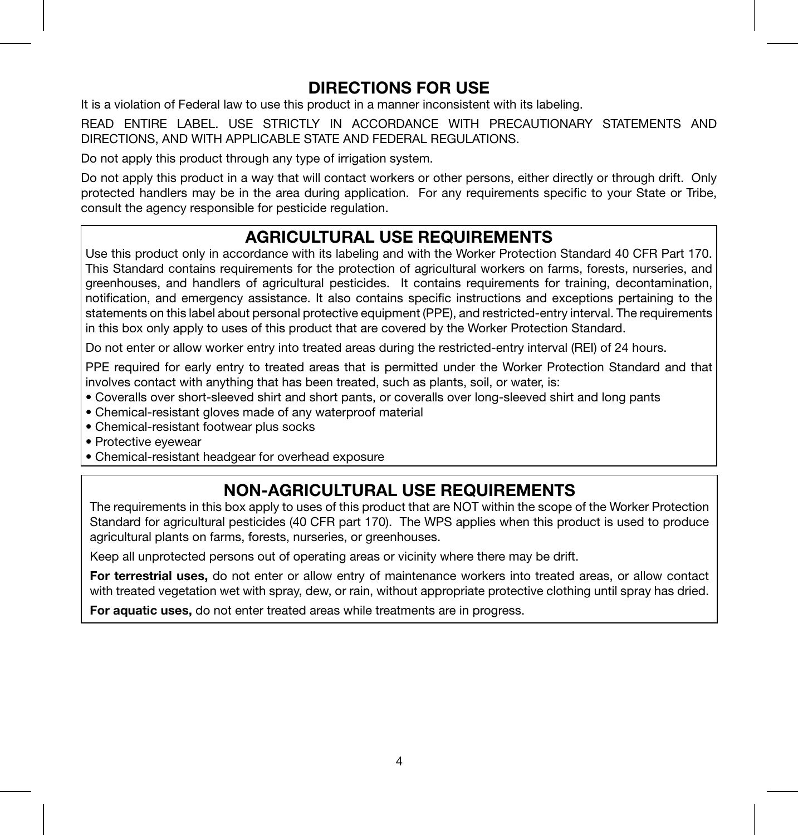## **DIRECTIONS FOR USE**

It is a violation of Federal law to use this product in a manner inconsistent with its labeling.

READ ENTIRE LABEL. USE STRICTLY IN ACCORDANCE WITH PRECAUTIONARY STATEMENTS AND DIRECTIONS, AND WITH APPLICABLE STATE AND FEDERAL REGULATIONS.

Do not apply this product through any type of irrigation system.

Do not apply this product in a way that will contact workers or other persons, either directly or through drift. Only protected handlers may be in the area during application. For any requirements specific to your State or Tribe, consult the agency responsible for pesticide regulation.

## **AGRICULTURAL USE REQUIREMENTS**

Use this product only in accordance with its labeling and with the Worker Protection Standard 40 CFR Part 170. This Standard contains requirements for the protection of agricultural workers on farms, forests, nurseries, and greenhouses, and handlers of agricultural pesticides. It contains requirements for training, decontamination, notification, and emergency assistance. It also contains specific instructions and exceptions pertaining to the statements on this label about personal protective equipment (PPE), and restricted-entry interval. The requirements in this box only apply to uses of this product that are covered by the Worker Protection Standard.

Do not enter or allow worker entry into treated areas during the restricted-entry interval (REI) of 24 hours.

PPE required for early entry to treated areas that is permitted under the Worker Protection Standard and that involves contact with anything that has been treated, such as plants, soil, or water, is:

- Coveralls over short-sleeved shirt and short pants, or coveralls over long-sleeved shirt and long pants
- Chemical-resistant gloves made of any waterproof material
- Chemical-resistant footwear plus socks
- Protective eyewear
- Chemical-resistant headgear for overhead exposure

## **NON-AGRICULTURAL USE REQUIREMENTS**

The requirements in this box apply to uses of this product that are NOT within the scope of the Worker Protection Standard for agricultural pesticides (40 CFR part 170). The WPS applies when this product is used to produce agricultural plants on farms, forests, nurseries, or greenhouses.

Keep all unprotected persons out of operating areas or vicinity where there may be drift.

**For terrestrial uses,** do not enter or allow entry of maintenance workers into treated areas, or allow contact with treated vegetation wet with spray, dew, or rain, without appropriate protective clothing until spray has dried.

**For aquatic uses,** do not enter treated areas while treatments are in progress.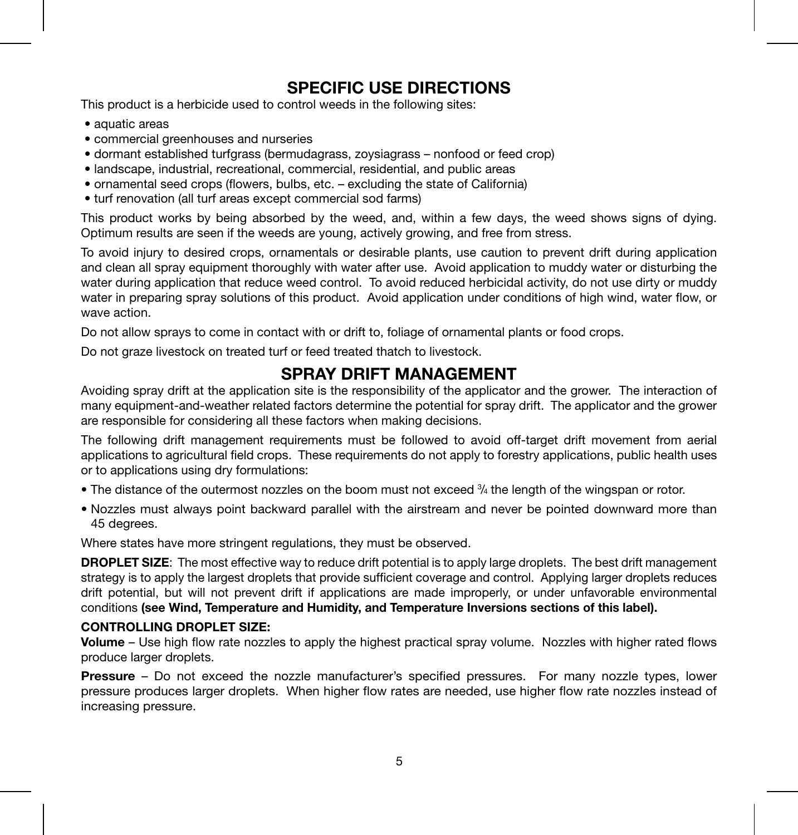## **SPECIFIC USE DIRECTIONS**

This product is a herbicide used to control weeds in the following sites:

- aquatic areas
- commercial greenhouses and nurseries
- dormant established turfgrass (bermudagrass, zoysiagrass nonfood or feed crop)
- landscape, industrial, recreational, commercial, residential, and public areas
- ornamental seed crops (flowers, bulbs, etc. excluding the state of California)
- turf renovation (all turf areas except commercial sod farms)

This product works by being absorbed by the weed, and, within a few days, the weed shows signs of dying. Optimum results are seen if the weeds are young, actively growing, and free from stress.

To avoid injury to desired crops, ornamentals or desirable plants, use caution to prevent drift during application and clean all spray equipment thoroughly with water after use. Avoid application to muddy water or disturbing the water during application that reduce weed control. To avoid reduced herbicidal activity, do not use dirty or muddy water in preparing spray solutions of this product. Avoid application under conditions of high wind, water flow, or wave action.

Do not allow sprays to come in contact with or drift to, foliage of ornamental plants or food crops.

Do not graze livestock on treated turf or feed treated thatch to livestock.

### **SPRAY DRIFT MANAGEMENT**

Avoiding spray drift at the application site is the responsibility of the applicator and the grower. The interaction of many equipment-and-weather related factors determine the potential for spray drift. The applicator and the grower are responsible for considering all these factors when making decisions.

The following drift management requirements must be followed to avoid off-target drift movement from aerial applications to agricultural field crops. These requirements do not apply to forestry applications, public health uses or to applications using dry formulations:

- The distance of the outermost nozzles on the boom must not exceed 3/4 the length of the wingspan or rotor.
- Nozzles must always point backward parallel with the airstream and never be pointed downward more than 45 degrees.

Where states have more stringent regulations, they must be observed.

**DROPLET SIZE:** The most effective way to reduce drift potential is to apply large droplets. The best drift management strategy is to apply the largest droplets that provide sufficient coverage and control. Applying larger droplets reduces drift potential, but will not prevent drift if applications are made improperly, or under unfavorable environmental conditions **(see Wind, Temperature and Humidity, and Temperature Inversions sections of this label).**

#### **CONTROLLING DROPLET SIZE:**

**Volume** – Use high flow rate nozzles to apply the highest practical spray volume. Nozzles with higher rated flows produce larger droplets.

**Pressure** – Do not exceed the nozzle manufacturer's specified pressures. For many nozzle types, lower pressure produces larger droplets. When higher flow rates are needed, use higher flow rate nozzles instead of increasing pressure.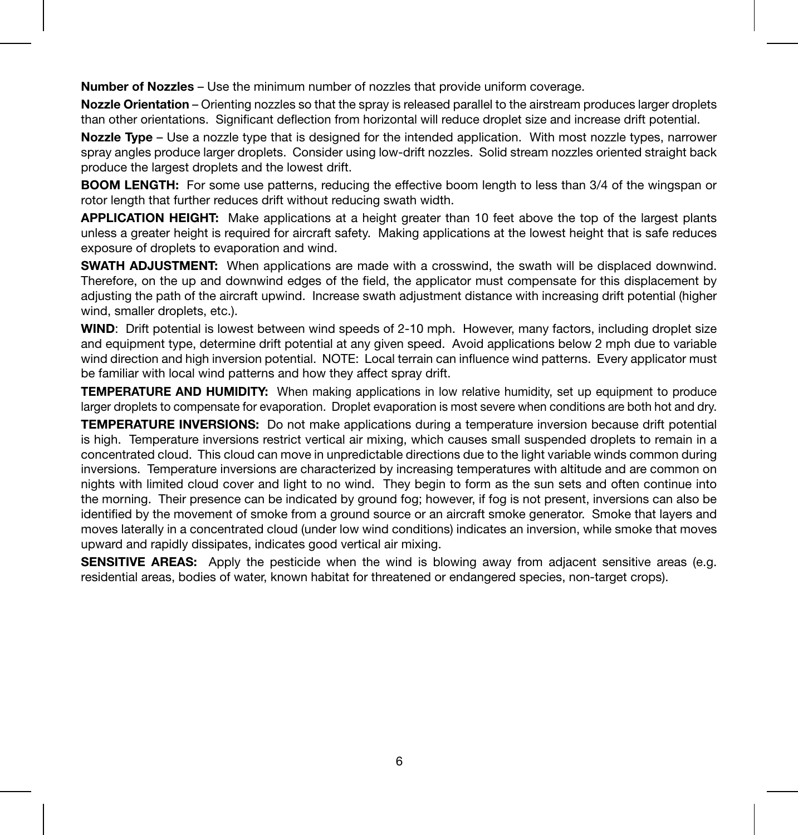**Number of Nozzles** – Use the minimum number of nozzles that provide uniform coverage.

**Nozzle Orientation** – Orienting nozzles so that the spray is released parallel to the airstream produces larger droplets than other orientations. Significant deflection from horizontal will reduce droplet size and increase drift potential.

**Nozzle Type** – Use a nozzle type that is designed for the intended application. With most nozzle types, narrower spray angles produce larger droplets. Consider using low-drift nozzles. Solid stream nozzles oriented straight back produce the largest droplets and the lowest drift.

**BOOM LENGTH:** For some use patterns, reducing the effective boom length to less than 3/4 of the wingspan or rotor length that further reduces drift without reducing swath width.

**APPLICATION HEIGHT:** Make applications at a height greater than 10 feet above the top of the largest plants unless a greater height is required for aircraft safety. Making applications at the lowest height that is safe reduces exposure of droplets to evaporation and wind.

**SWATH ADJUSTMENT:** When applications are made with a crosswind, the swath will be displaced downwind. Therefore, on the up and downwind edges of the field, the applicator must compensate for this displacement by adjusting the path of the aircraft upwind. Increase swath adjustment distance with increasing drift potential (higher wind, smaller droplets, etc.).

**WIND**: Drift potential is lowest between wind speeds of 2-10 mph. However, many factors, including droplet size and equipment type, determine drift potential at any given speed. Avoid applications below 2 mph due to variable wind direction and high inversion potential. NOTE: Local terrain can influence wind patterns. Every applicator must be familiar with local wind patterns and how they affect spray drift.

**TEMPERATURE AND HUMIDITY:** When making applications in low relative humidity, set up equipment to produce larger droplets to compensate for evaporation. Droplet evaporation is most severe when conditions are both hot and dry.

**TEMPERATURE INVERSIONS:** Do not make applications during a temperature inversion because drift potential is high. Temperature inversions restrict vertical air mixing, which causes small suspended droplets to remain in a concentrated cloud. This cloud can move in unpredictable directions due to the light variable winds common during inversions. Temperature inversions are characterized by increasing temperatures with altitude and are common on nights with limited cloud cover and light to no wind. They begin to form as the sun sets and often continue into the morning. Their presence can be indicated by ground fog; however, if fog is not present, inversions can also be identified by the movement of smoke from a ground source or an aircraft smoke generator. Smoke that layers and moves laterally in a concentrated cloud (under low wind conditions) indicates an inversion, while smoke that moves upward and rapidly dissipates, indicates good vertical air mixing.

**SENSITIVE AREAS:** Apply the pesticide when the wind is blowing away from adjacent sensitive areas (e.g. residential areas, bodies of water, known habitat for threatened or endangered species, non-target crops).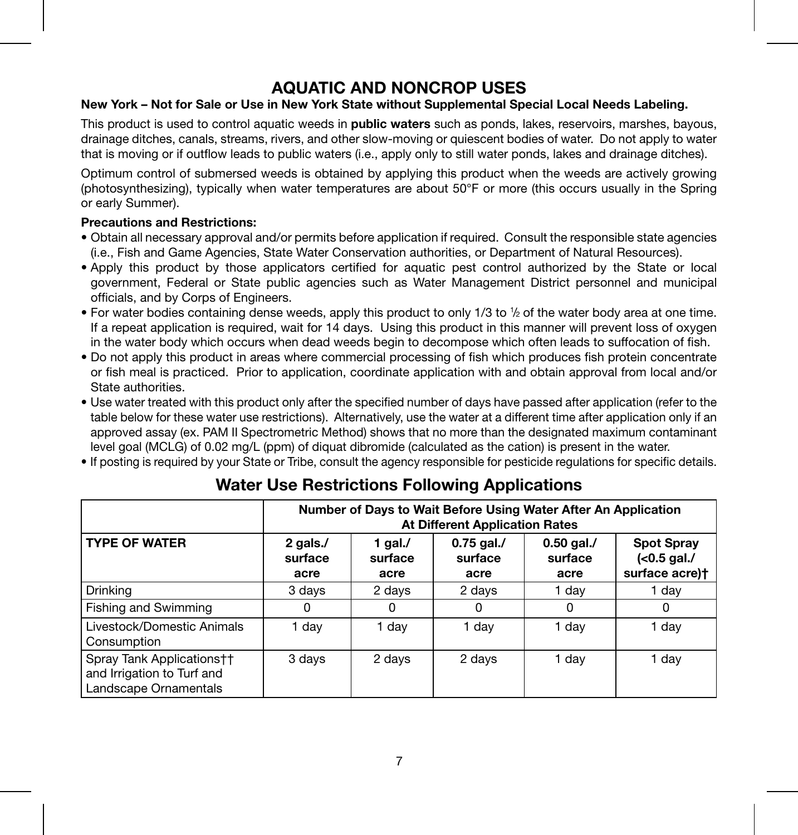## **AQUATIC AND NONCROP USES**

#### **New York – Not for Sale or Use in New York State without Supplemental Special Local Needs Labeling.**

This product is used to control aquatic weeds in **public waters** such as ponds, lakes, reservoirs, marshes, bayous, drainage ditches, canals, streams, rivers, and other slow-moving or quiescent bodies of water. Do not apply to water that is moving or if outflow leads to public waters (i.e., apply only to still water ponds, lakes and drainage ditches).

Optimum control of submersed weeds is obtained by applying this product when the weeds are actively growing (photosynthesizing), typically when water temperatures are about 50°F or more (this occurs usually in the Spring or early Summer).

#### **Precautions and Restrictions:**

- Obtain all necessary approval and/or permits before application if required. Consult the responsible state agencies (i.e., Fish and Game Agencies, State Water Conservation authorities, or Department of Natural Resources).
- Apply this product by those applicators certified for aquatic pest control authorized by the State or local government, Federal or State public agencies such as Water Management District personnel and municipal officials, and by Corps of Engineers.
- For water bodies containing dense weeds, apply this product to only 1/3 to 1/2 of the water body area at one time. If a repeat application is required, wait for 14 days. Using this product in this manner will prevent loss of oxygen in the water body which occurs when dead weeds begin to decompose which often leads to suffocation of fish.
- Do not apply this product in areas where commercial processing of fish which produces fish protein concentrate or fish meal is practiced. Prior to application, coordinate application with and obtain approval from local and/or State authorities.
- Use water treated with this product only after the specified number of days have passed after application (refer to the table below for these water use restrictions). Alternatively, use the water at a different time after application only if an approved assay (ex. PAM II Spectrometric Method) shows that no more than the designated maximum contaminant level goal (MCLG) of 0.02 mg/L (ppm) of diquat dibromide (calculated as the cation) is present in the water.
- If posting is required by your State or Tribe, consult the agency responsible for pesticide regulations for specific details.

|                                                                                  | Number of Days to Wait Before Using Water After An Application<br><b>At Different Application Rates</b> |                               |                                 |                                 |                                                    |
|----------------------------------------------------------------------------------|---------------------------------------------------------------------------------------------------------|-------------------------------|---------------------------------|---------------------------------|----------------------------------------------------|
| <b>TYPE OF WATER</b>                                                             | 2 gals./<br>surface<br>acre                                                                             | 1 gal. $/$<br>surface<br>acre | $0.75$ gal./<br>surface<br>acre | $0.50$ gal./<br>surface<br>acre | <b>Spot Spray</b><br>$(0.5 gal.$<br>surface acre)t |
| Drinkina                                                                         | 3 days                                                                                                  | 2 days                        | 2 days                          | 1 day                           | 1 day                                              |
| Fishing and Swimming                                                             | 0                                                                                                       | 0                             |                                 |                                 |                                                    |
| Livestock/Domestic Animals<br>Consumption                                        | 1 day                                                                                                   | 1 day                         | 1 day                           | 1 day                           | 1 day                                              |
| Spray Tank Applications††<br>and Irrigation to Turf and<br>Landscape Ornamentals | 3 days                                                                                                  | 2 days                        | 2 days                          | 1 day                           | 1 day                                              |

## **Water Use Restrictions Following Applications**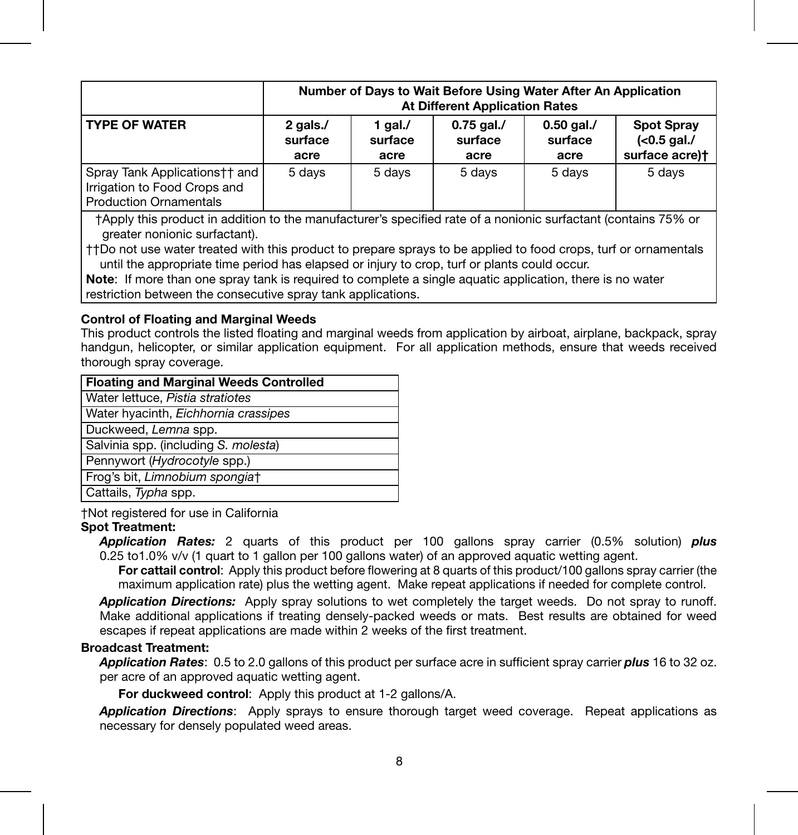|                                                                                                  | Number of Days to Wait Before Using Water After An Application<br><b>At Different Application Rates</b> |                            |                                 |                                 |                                                    |
|--------------------------------------------------------------------------------------------------|---------------------------------------------------------------------------------------------------------|----------------------------|---------------------------------|---------------------------------|----------------------------------------------------|
| <b>TYPE OF WATER</b>                                                                             | 2 gals./<br>surface<br>acre                                                                             | 1 gal./<br>surface<br>acre | $0.75$ gal./<br>surface<br>acre | $0.50$ gal./<br>surface<br>acre | <b>Spot Spray</b><br>$(0.5 gal.$<br>surface acre)+ |
| Spray Tank Applications†† and  <br>Irrigation to Food Crops and<br><b>Production Ornamentals</b> | 5 days                                                                                                  | 5 days                     | 5 days                          | 5 days                          | 5 days                                             |

†Apply this product in addition to the manufacturer's specified rate of a nonionic surfactant (contains 75% or greater nonionic surfactant).

††Do not use water treated with this product to prepare sprays to be applied to food crops, turf or ornamentals until the appropriate time period has elapsed or injury to crop, turf or plants could occur.

**Note:** If more than one spray tank is required to complete a single aquatic application, there is no water restriction between the consecutive spray tank applications.

#### **Control of Floating and Marginal Weeds**

This product controls the listed floating and marginal weeds from application by airboat, airplane, backpack, spray handgun, helicopter, or similar application equipment. For all application methods, ensure that weeds received thorough spray coverage.

| <b>Floating and Marginal Weeds Controlled</b> |
|-----------------------------------------------|
| Water lettuce, Pistia stratiotes              |
| Water hyacinth, Eichhornia crassipes          |
| Duckweed, Lemna spp.                          |
| Salvinia spp. (including S. molesta)          |
| Pennywort (Hydrocotyle spp.)                  |
| Frog's bit, Limnobium spongiat                |
| Cattails, Typha spp.                          |

†Not registered for use in California

#### **Spot Treatment:**

*Application Rates:* 2 quarts of this product per 100 gallons spray carrier (0.5% solution) *plus* 0.25 to1.0% v/v (1 quart to 1 gallon per 100 gallons water) of an approved aquatic wetting agent.

**For cattail control:** Apply this product before flowering at 8 quarts of this product/100 gallons spray carrier (the maximum application rate) plus the wetting agent. Make repeat applications if needed for complete control.

*Application Directions:* Apply spray solutions to wet completely the target weeds. Do not spray to runoff. Make additional applications if treating densely-packed weeds or mats. Best results are obtained for weed escapes if repeat applications are made within 2 weeks of the first treatment.

#### **Broadcast Treatment:**

*Application Rates*: 0.5 to 2.0 gallons of this product per surface acre in sufficient spray carrier *plus* 16 to 32 oz. per acre of an approved aquatic wetting agent.

**For duckweed control:** Apply this product at 1-2 gallons/A.

*Application Directions*: Apply sprays to ensure thorough target weed coverage. Repeat applications as necessary for densely populated weed areas.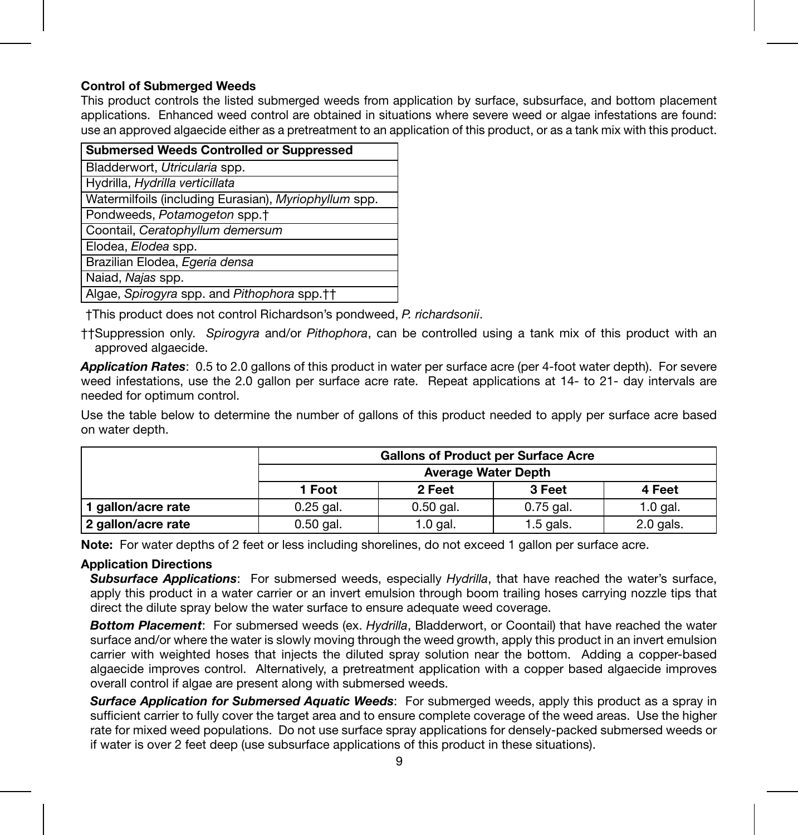#### **Control of Submerged Weeds**

This product controls the listed submerged weeds from application by surface, subsurface, and bottom placement applications. Enhanced weed control are obtained in situations where severe weed or algae infestations are found: use an approved algaecide either as a pretreatment to an application of this product, or as a tank mix with this product.

| <b>Submersed Weeds Controlled or Suppressed</b>       |
|-------------------------------------------------------|
| Bladderwort, Utricularia spp.                         |
| Hydrilla, Hydrilla verticillata                       |
| Watermilfoils (including Eurasian), Myriophyllum spp. |
| Pondweeds, Potamogeton spp. <sup>+</sup>              |
| Coontail, Ceratophyllum demersum                      |
| Elodea, Elodea spp.                                   |
| Brazilian Elodea, Egeria densa                        |
| Naiad, Najas spp.                                     |
| Algae, Spirogyra spp. and Pithophora spp.++           |

†This product does not control Richardson's pondweed, *P. richardsonii*.

††Suppression only. *Spirogyra* and/or *Pithophora*, can be controlled using a tank mix of this product with an approved algaecide.

*Application Rates*: 0.5 to 2.0 gallons of this product in water per surface acre (per 4-foot water depth). For severe weed infestations, use the 2.0 gallon per surface acre rate. Repeat applications at 14- to 21- day intervals are needed for optimum control.

Use the table below to determine the number of gallons of this product needed to apply per surface acre based on water depth.

|                    | Gallons of Product per Surface Acre |             |             |            |
|--------------------|-------------------------------------|-------------|-------------|------------|
|                    | Average Water Depth                 |             |             |            |
|                    | 1 Foot                              | 2 Feet      | 3 Feet      | 4 Feet     |
| 1 gallon/acre rate | $0.25$ gal.                         | $0.50$ gal. | $0.75$ gal. | $1.0$ gal. |
| 2 gallon/acre rate | 0.50 gal.                           | $1.0$ gal.  | $1.5$ gals. | 2.0 gals.  |

**Note:** For water depths of 2 feet or less including shorelines, do not exceed 1 gallon per surface acre.

#### **Application Directions**

*Subsurface Applications*: For submersed weeds, especially *Hydrilla*, that have reached the water's surface, apply this product in a water carrier or an invert emulsion through boom trailing hoses carrying nozzle tips that direct the dilute spray below the water surface to ensure adequate weed coverage.

*Bottom Placement*: For submersed weeds (ex. *Hydrilla*, Bladderwort, or Coontail) that have reached the water surface and/or where the water is slowly moving through the weed growth, apply this product in an invert emulsion carrier with weighted hoses that injects the diluted spray solution near the bottom. Adding a copper-based algaecide improves control. Alternatively, a pretreatment application with a copper based algaecide improves overall control if algae are present along with submersed weeds.

**Surface Application for Submersed Aquatic Weeds:** For submerged weeds, apply this product as a spray in sufficient carrier to fully cover the target area and to ensure complete coverage of the weed areas. Use the higher rate for mixed weed populations. Do not use surface spray applications for densely-packed submersed weeds or if water is over 2 feet deep (use subsurface applications of this product in these situations).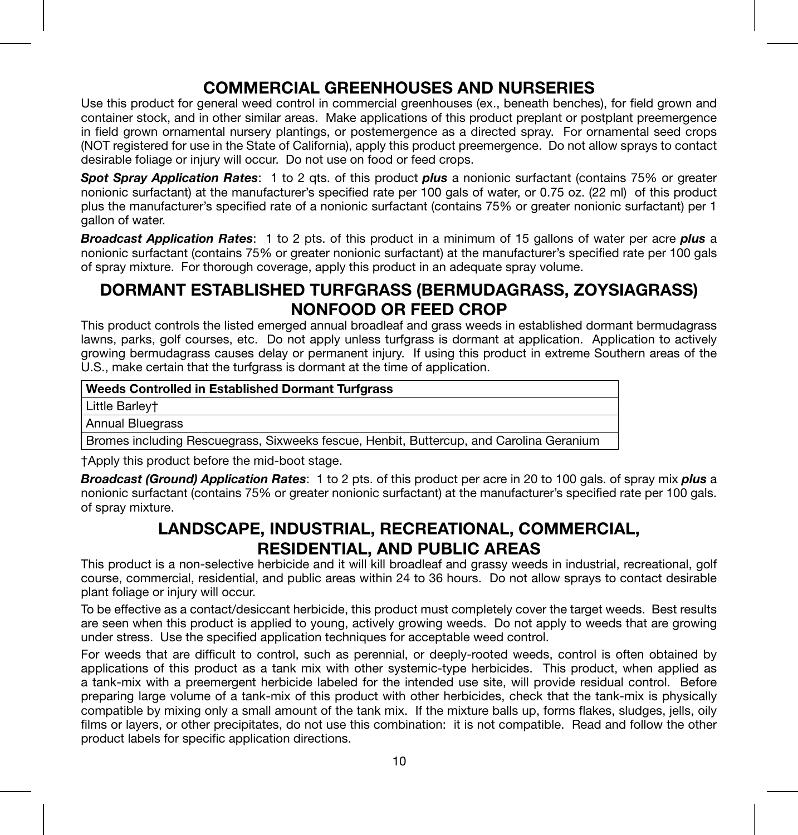## **COMMERCIAL GREENHOUSES AND NURSERIES**

Use this product for general weed control in commercial greenhouses (ex., beneath benches), for field grown and container stock, and in other similar areas. Make applications of this product preplant or postplant preemergence in field grown ornamental nursery plantings, or postemergence as a directed spray. For ornamental seed crops (NOT registered for use in the State of California), apply this product preemergence. Do not allow sprays to contact desirable foliage or injury will occur. Do not use on food or feed crops.

*Spot Spray Application Rates*: 1 to 2 qts. of this product *plus* a nonionic surfactant (contains 75% or greater nonionic surfactant) at the manufacturer's specified rate per 100 gals of water, or 0.75 oz. (22 ml) of this product plus the manufacturer's specified rate of a nonionic surfactant (contains 75% or greater nonionic surfactant) per 1 gallon of water.

*Broadcast Application Rates*: 1 to 2 pts. of this product in a minimum of 15 gallons of water per acre *plus* a nonionic surfactant (contains 75% or greater nonionic surfactant) at the manufacturer's specified rate per 100 gals of spray mixture. For thorough coverage, apply this product in an adequate spray volume.

## **DORMANT ESTABLISHED TURFGRASS (BERMUDAGRASS, ZOYSIAGRASS) NONFOOD OR FEED CROP**

This product controls the listed emerged annual broadleaf and grass weeds in established dormant bermudagrass lawns, parks, golf courses, etc. Do not apply unless turfgrass is dormant at application. Application to actively growing bermudagrass causes delay or permanent injury. If using this product in extreme Southern areas of the U.S., make certain that the turfgrass is dormant at the time of application.

| Weeds Controlled in Established Dormant Turfgrass                                       |  |  |
|-----------------------------------------------------------------------------------------|--|--|
| Little Barlev+                                                                          |  |  |
| Annual Bluegrass                                                                        |  |  |
| Bromes including Rescuegrass, Sixweeks fescue, Henbit, Buttercup, and Carolina Geranium |  |  |

†Apply this product before the mid-boot stage.

*Broadcast (Ground) Application Rates*: 1 to 2 pts. of this product per acre in 20 to 100 gals. of spray mix *plus* a nonionic surfactant (contains 75% or greater nonionic surfactant) at the manufacturer's specified rate per 100 gals. of spray mixture.

## **LANDSCAPE, INDUSTRIAL, RECREATIONAL, COMMERCIAL, RESIDENTIAL, AND PUBLIC AREAS**

This product is a non-selective herbicide and it will kill broadleaf and grassy weeds in industrial, recreational, golf course, commercial, residential, and public areas within 24 to 36 hours. Do not allow sprays to contact desirable plant foliage or injury will occur.

To be effective as a contact/desiccant herbicide, this product must completely cover the target weeds. Best results are seen when this product is applied to young, actively growing weeds. Do not apply to weeds that are growing under stress. Use the specified application techniques for acceptable weed control.

For weeds that are difficult to control, such as perennial, or deeply-rooted weeds, control is often obtained by applications of this product as a tank mix with other systemic-type herbicides. This product, when applied as a tank-mix with a preemergent herbicide labeled for the intended use site, will provide residual control. Before preparing large volume of a tank-mix of this product with other herbicides, check that the tank-mix is physically compatible by mixing only a small amount of the tank mix. If the mixture balls up, forms flakes, sludges, jells, oily films or layers, or other precipitates, do not use this combination: it is not compatible. Read and follow the other product labels for specific application directions.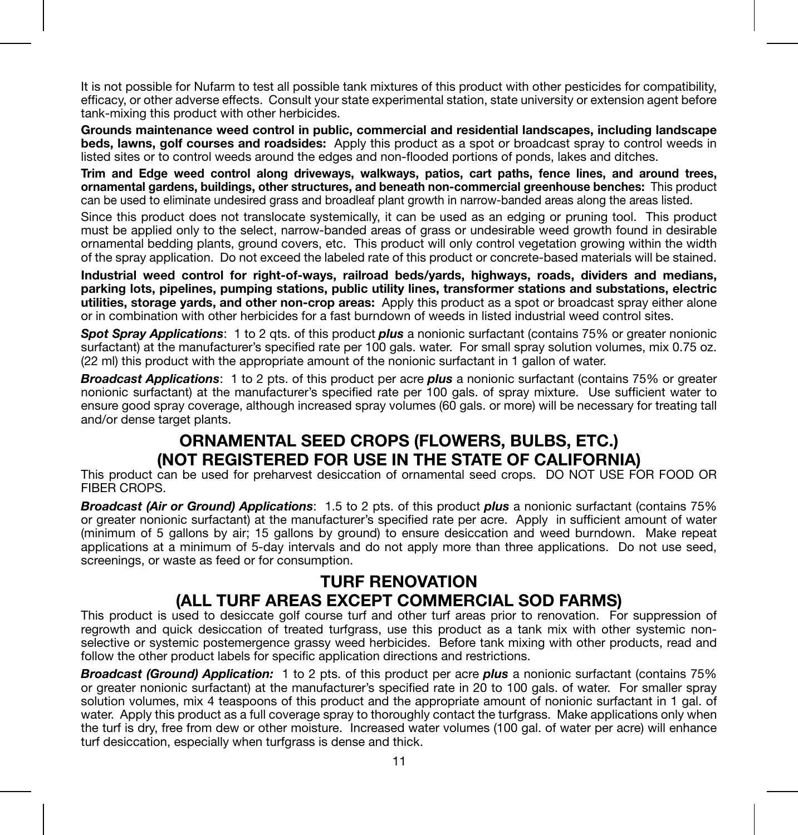It is not possible for Nufarm to test all possible tank mixtures of this product with other pesticides for compatibility, efficacy, or other adverse effects. Consult your state experimental station, state university or extension agent before tank-mixing this product with other herbicides.

**Grounds maintenance weed control in public, commercial and residential landscapes, including landscape beds, lawns, golf courses and roadsides:** Apply this product as a spot or broadcast spray to control weeds in listed sites or to control weeds around the edges and non-flooded portions of ponds, lakes and ditches.

**Trim and Edge weed control along driveways, walkways, patios, cart paths, fence lines, and around trees, ornamental gardens, buildings, other structures, and beneath non-commercial greenhouse benches:** This product can be used to eliminate undesired grass and broadleaf plant growth in narrow-banded areas along the areas listed.

Since this product does not translocate systemically, it can be used as an edging or pruning tool. This product must be applied only to the select, narrow-banded areas of grass or undesirable weed growth found in desirable ornamental bedding plants, ground covers, etc. This product will only control vegetation growing within the width of the spray application. Do not exceed the labeled rate of this product or concrete-based materials will be stained.

**Industrial weed control for right-of-ways, railroad beds/yards, highways, roads, dividers and medians, parking lots, pipelines, pumping stations, public utility lines, transformer stations and substations, electric utilities, storage yards, and other non-crop areas:** Apply this product as a spot or broadcast spray either alone or in combination with other herbicides for a fast burndown of weeds in listed industrial weed control sites.

*Spot Spray Applications*: 1 to 2 qts. of this product *plus* a nonionic surfactant (contains 75% or greater nonionic surfactant) at the manufacturer's specified rate per 100 gals. water. For small spray solution volumes, mix 0.75 oz. (22 ml) this product with the appropriate amount of the nonionic surfactant in 1 gallon of water.

*Broadcast Applications*: 1 to 2 pts. of this product per acre *plus* a nonionic surfactant (contains 75% or greater nonionic surfactant) at the manufacturer's specified rate per 100 gals. of spray mixture. Use sufficient water to ensure good spray coverage, although increased spray volumes (60 gals, or more) will be necessary for treating tall and/or dense target plants.

## **ORNAMENTAL SEED CROPS (FLOWERS, BULBS, ETC.) (NOT REGISTERED FOR USE IN THE STATE OF CALIFORNIA)**

This product can be used for preharvest desiccation of ornamental seed crops. DO NOT USE FOR FOOD OR FIBER CROPS.

*Broadcast (Air or Ground) Applications*: 1.5 to 2 pts. of this product *plus* a nonionic surfactant (contains 75% or greater nonionic surfactant) at the manufacturer's specified rate per acre. Apply in sufficient amount of water (minimum of 5 gallons by air; 15 gallons by ground) to ensure desiccation and weed burndown. Make repeat applications at a minimum of 5-day intervals and do not apply more than three applications. Do not use seed, screenings, or waste as feed or for consumption.

## **TURF RENOVATION (ALL TURF AREAS EXCEPT COMMERCIAL SOD FARMS)**

This product is used to desiccate golf course turf and other turf areas prior to renovation. For suppression of regrowth and quick desiccation of treated turfgrass, use this product as a tank mix with other systemic nonselective or systemic postemergence grassy weed herbicides. Before tank mixing with other products, read and follow the other product labels for specific application directions and restrictions.

*Broadcast (Ground) Application:* 1 to 2 pts. of this product per acre *plus* a nonionic surfactant (contains 75% or greater nonionic surfactant) at the manufacturer's specified rate in 20 to 100 gals. of water. For smaller spray solution volumes, mix 4 teaspoons of this product and the appropriate amount of nonionic surfactant in 1 gal. of water. Apply this product as a full coverage spray to thoroughly contact the turfgrass. Make applications only when the turf is dry, free from dew or other moisture. Increased water volumes (100 gal. of water per acre) will enhance turf desiccation, especially when turfgrass is dense and thick.